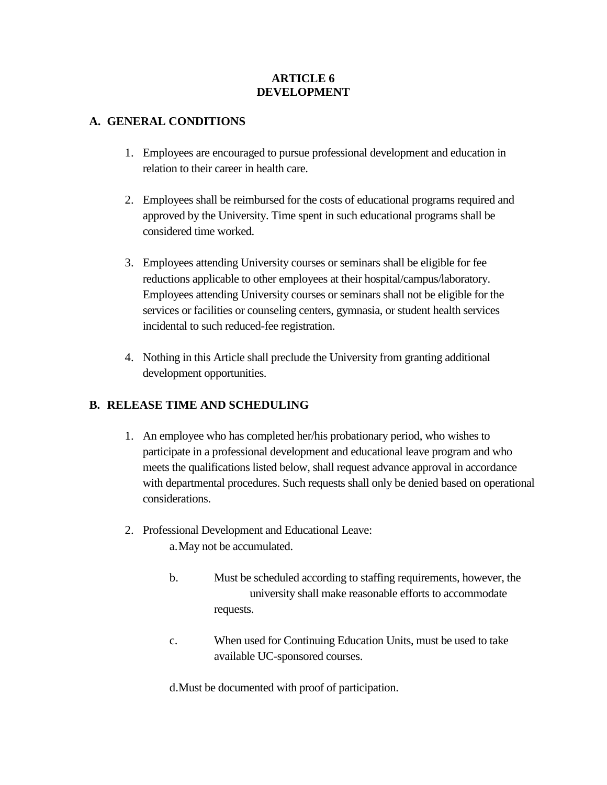### **ARTICLE 6 DEVELOPMENT**

### **A. GENERAL CONDITIONS**

- 1. Employees are encouraged to pursue professional development and education in relation to their career in health care.
- 2. Employees shall be reimbursed for the costs of educational programs required and approved by the University. Time spent in such educational programs shall be considered time worked.
- 3. Employees attending University courses or seminars shall be eligible for fee reductions applicable to other employees at their hospital/campus/laboratory. Employees attending University courses or seminars shall not be eligible for the services or facilities or counseling centers, gymnasia, or student health services incidental to such reduced-fee registration.
- 4. Nothing in this Article shall preclude the University from granting additional development opportunities.

## **B. RELEASE TIME AND SCHEDULING**

- 1. An employee who has completed her/his probationary period, who wishes to participate in a professional development and educational leave program and who meets the qualifications listed below, shall request advance approval in accordance with departmental procedures. Such requests shall only be denied based on operational considerations.
- 2. Professional Development and Educational Leave: a.May not be accumulated.
	- b. Must be scheduled according to staffing requirements, however, the university shall make reasonable efforts to accommodate requests.
	- c. When used for Continuing Education Units, must be used to take available UC-sponsored courses.

d.Must be documented with proof of participation.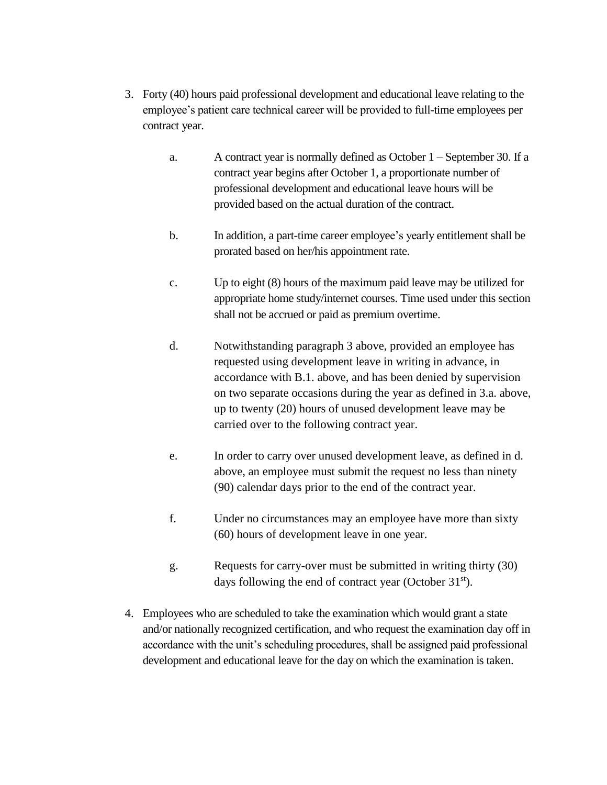- 3. Forty (40) hours paid professional development and educational leave relating to the employee's patient care technical career will be provided to full-time employees per contract year.
	- a. A contract year is normally defined as October 1 September 30. If a contract year begins after October 1, a proportionate number of professional development and educational leave hours will be provided based on the actual duration of the contract.
	- b. In addition, a part-time career employee's yearly entitlement shall be prorated based on her/his appointment rate.
	- c. Up to eight (8) hours of the maximum paid leave may be utilized for appropriate home study/internet courses. Time used under this section shall not be accrued or paid as premium overtime.
	- d. Notwithstanding paragraph 3 above, provided an employee has requested using development leave in writing in advance, in accordance with B.1. above, and has been denied by supervision on two separate occasions during the year as defined in 3.a. above, up to twenty (20) hours of unused development leave may be carried over to the following contract year.
	- e. In order to carry over unused development leave, as defined in d. above, an employee must submit the request no less than ninety (90) calendar days prior to the end of the contract year.
	- f. Under no circumstances may an employee have more than sixty (60) hours of development leave in one year.
	- g. Requests for carry-over must be submitted in writing thirty (30) days following the end of contract year (October  $31<sup>st</sup>$ ).
- 4. Employees who are scheduled to take the examination which would grant a state and/or nationally recognized certification, and who request the examination day off in accordance with the unit's scheduling procedures, shall be assigned paid professional development and educational leave for the day on which the examination is taken.